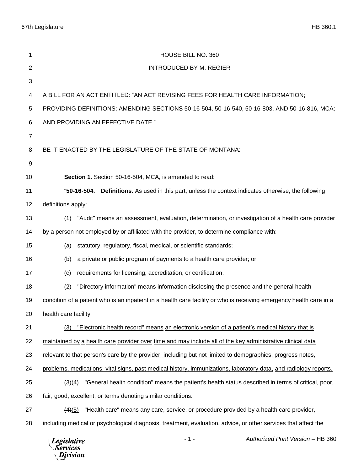| 1              | HOUSE BILL NO. 360                                                                                                  |
|----------------|---------------------------------------------------------------------------------------------------------------------|
| 2              | <b>INTRODUCED BY M. REGIER</b>                                                                                      |
| 3              |                                                                                                                     |
| 4              | A BILL FOR AN ACT ENTITLED: "AN ACT REVISING FEES FOR HEALTH CARE INFORMATION;                                      |
| 5              | PROVIDING DEFINITIONS; AMENDING SECTIONS 50-16-504, 50-16-540, 50-16-803, AND 50-16-816, MCA;                       |
| 6              | AND PROVIDING AN EFFECTIVE DATE."                                                                                   |
| $\overline{7}$ |                                                                                                                     |
| 8              | BE IT ENACTED BY THE LEGISLATURE OF THE STATE OF MONTANA:                                                           |
| 9              |                                                                                                                     |
| 10             | Section 1. Section 50-16-504, MCA, is amended to read:                                                              |
| 11             | Definitions. As used in this part, unless the context indicates otherwise, the following<br>"50-16-504.             |
| 12             | definitions apply:                                                                                                  |
| 13             | "Audit" means an assessment, evaluation, determination, or investigation of a health care provider<br>(1)           |
| 14             | by a person not employed by or affiliated with the provider, to determine compliance with:                          |
| 15             | statutory, regulatory, fiscal, medical, or scientific standards;<br>(a)                                             |
| 16             | a private or public program of payments to a health care provider; or<br>(b)                                        |
| 17             | requirements for licensing, accreditation, or certification.<br>(c)                                                 |
| 18             | "Directory information" means information disclosing the presence and the general health<br>(2)                     |
| 19             | condition of a patient who is an inpatient in a health care facility or who is receiving emergency health care in a |
| 20             | health care facility.                                                                                               |
| 21             | "Electronic health record" means an electronic version of a patient's medical history that is<br>(3)                |
| 22             | maintained by a health care provider over time and may include all of the key administrative clinical data          |
| 23             | relevant to that person's care by the provider, including but not limited to demographics, progress notes,          |
| 24             | problems, medications, vital signs, past medical history, immunizations, laboratory data, and radiology reports.    |
| 25             | "General health condition" means the patient's health status described in terms of critical, poor,<br>(3)(4)        |
| 26             | fair, good, excellent, or terms denoting similar conditions.                                                        |
| 27             | "Health care" means any care, service, or procedure provided by a health care provider,<br>(4)(5)                   |
| 28             | including medical or psychological diagnosis, treatment, evaluation, advice, or other services that affect the      |
|                | Authorized Print Version - HB 360<br>- 1 -<br><b>Legislative</b><br><b>Services</b><br>Division                     |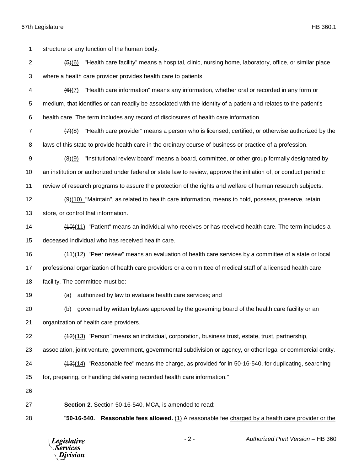(5)(6) "Health care facility" means a hospital, clinic, nursing home, laboratory, office, or similar place where a health care provider provides health care to patients. (6)(7) "Health care information" means any information, whether oral or recorded in any form or medium, that identifies or can readily be associated with the identity of a patient and relates to the patient's

structure or any function of the human body.

health care. The term includes any record of disclosures of health care information.

 (7)(8) "Health care provider" means a person who is licensed, certified, or otherwise authorized by the laws of this state to provide health care in the ordinary course of business or practice of a profession.

9  $(8)(9)$  "Institutional review board" means a board, committee, or other group formally designated by an institution or authorized under federal or state law to review, approve the initiation of, or conduct periodic

review of research programs to assure the protection of the rights and welfare of human research subjects.

12 (9)(10) "Maintain", as related to health care information, means to hold, possess, preserve, retain,

store, or control that information.

 (10)(11) "Patient" means an individual who receives or has received health care. The term includes a deceased individual who has received health care.

 (11)(12) "Peer review" means an evaluation of health care services by a committee of a state or local professional organization of health care providers or a committee of medical staff of a licensed health care facility. The committee must be:

(a) authorized by law to evaluate health care services; and

(b) governed by written bylaws approved by the governing board of the health care facility or an

organization of health care providers.

(12)(13) "Person" means an individual, corporation, business trust, estate, trust, partnership,

association, joint venture, government, governmental subdivision or agency, or other legal or commercial entity.

(13)(14) "Reasonable fee" means the charge, as provided for in 50-16-540, for duplicating, searching

25 for, preparing, or handling delivering recorded health care information."

**Section 2.** Section 50-16-540, MCA, is amended to read:

"**50-16-540. Reasonable fees allowed.** (1) A reasonable fee charged by a health care provider or the

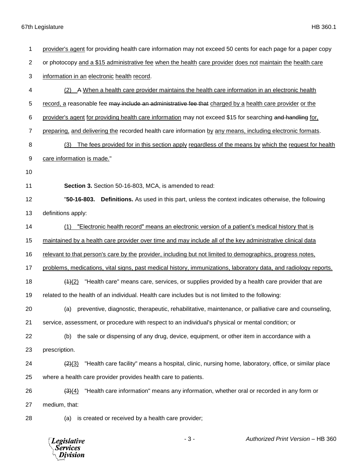*Legislative*<br>Services<br>*Division* 

| 1              | provider's agent for providing health care information may not exceed 50 cents for each page for a paper copy    |
|----------------|------------------------------------------------------------------------------------------------------------------|
| $\overline{2}$ | or photocopy and a \$15 administrative fee when the health care provider does not maintain the health care       |
| 3              | information in an electronic health record.                                                                      |
| 4              | (2) A When a health care provider maintains the health care information in an electronic health                  |
| 5              | record, a reasonable fee may include an administrative fee that charged by a health care provider or the         |
| 6              | provider's agent for providing health care information may not exceed \$15 for searching and handling for,       |
| $\overline{7}$ | preparing, and delivering the recorded health care information by any means, including electronic formats.       |
| 8              | The fees provided for in this section apply regardless of the means by which the request for health<br>(3)       |
| 9              | care information is made."                                                                                       |
| 10             |                                                                                                                  |
| 11             | Section 3. Section 50-16-803, MCA, is amended to read:                                                           |
| 12             | Definitions. As used in this part, unless the context indicates otherwise, the following<br>"50-16-803.          |
| 13             | definitions apply:                                                                                               |
| 14             | "Electronic health record" means an electronic version of a patient's medical history that is<br>(1)             |
| 15             | maintained by a health care provider over time and may include all of the key administrative clinical data       |
| 16             | relevant to that person's care by the provider, including but not limited to demographics, progress notes,       |
| 17             | problems, medications, vital signs, past medical history, immunizations, laboratory data, and radiology reports. |
| 18             | "Health care" means care, services, or supplies provided by a health care provider that are<br>(4)(2)            |
| 19             | related to the health of an individual. Health care includes but is not limited to the following:                |
| 20             | (a) preventive, diagnostic, therapeutic, rehabilitative, maintenance, or palliative care and counseling,         |
| 21             | service, assessment, or procedure with respect to an individual's physical or mental condition; or               |
| 22             | the sale or dispensing of any drug, device, equipment, or other item in accordance with a<br>(b)                 |
| 23             | prescription.                                                                                                    |
| 24             | "Health care facility" means a hospital, clinic, nursing home, laboratory, office, or similar place<br>(2)(3)    |
| 25             | where a health care provider provides health care to patients.                                                   |
| 26             | "Health care information" means any information, whether oral or recorded in any form or<br>(3)(4)               |
| 27             | medium, that:                                                                                                    |
| 28             | is created or received by a health care provider;<br>(a)                                                         |
|                |                                                                                                                  |

- 3 - *Authorized Print Version* – HB 360